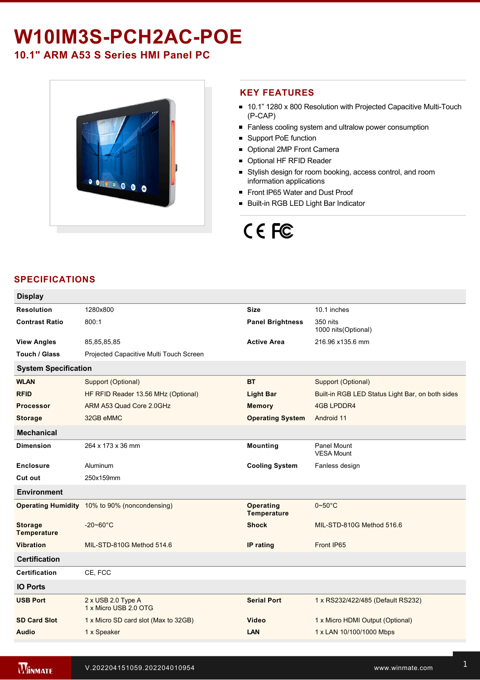## W10IM3S-PCH2AC-POE

### **10.1" ARM A53 S Series HMI Panel PC**



### **KEY FEATURES**

- 10.1" 1280 x 800 Resolution with Projected Capacitive Multi-Touch  $(P-CAP)$
- **Fanless cooling system and ultralow power consumption**
- Support PoE function
- Optional 2MP Front Camera
- **Optional HF RFID Reader**
- Stylish design for room booking, access control, and room information applications
- Front IP65 Water and Dust Proof
- **Built-in RGB LED Light Bar Indicator**

# CE FC

### **SPECIFICATIONS**

| <b>Display</b>                       |                                                      |                                 |                                                                 |  |  |  |
|--------------------------------------|------------------------------------------------------|---------------------------------|-----------------------------------------------------------------|--|--|--|
| <b>Resolution</b>                    | 1280x800                                             | <b>Size</b>                     | 10.1 inches                                                     |  |  |  |
| <b>Contrast Ratio</b>                | 800:1                                                | <b>Panel Brightness</b>         | 350 nits<br>1000 nits(Optional)                                 |  |  |  |
| <b>View Angles</b>                   | 85,85,85,85                                          | <b>Active Area</b>              | 216.96 x135.6 mm                                                |  |  |  |
| Touch / Glass                        | Projected Capacitive Multi Touch Screen              |                                 |                                                                 |  |  |  |
| <b>System Specification</b>          |                                                      |                                 |                                                                 |  |  |  |
| <b>WLAN</b>                          | Support (Optional)                                   | <b>BT</b>                       | Support (Optional)                                              |  |  |  |
| <b>RFID</b>                          | HF RFID Reader 13.56 MHz (Optional)                  | <b>Light Bar</b>                | Built-in RGB LED Status Light Bar, on both sides                |  |  |  |
| <b>Processor</b>                     | ARM A53 Quad Core 2.0GHz                             | <b>Memory</b>                   | <b>4GB LPDDR4</b>                                               |  |  |  |
| <b>Storage</b>                       | 32GB eMMC                                            | <b>Operating System</b>         | Android 11                                                      |  |  |  |
| <b>Mechanical</b>                    |                                                      |                                 |                                                                 |  |  |  |
| <b>Dimension</b>                     | 264 x 173 x 36 mm                                    | <b>Mounting</b>                 | Panel Mount<br><b>VESA Mount</b>                                |  |  |  |
| <b>Enclosure</b>                     | Aluminum                                             | <b>Cooling System</b>           | Fanless design                                                  |  |  |  |
| Cut out                              | 250x159mm                                            |                                 |                                                                 |  |  |  |
| <b>Environment</b>                   |                                                      |                                 |                                                                 |  |  |  |
|                                      | <b>Operating Humidity</b> 10% to 90% (noncondensing) | <b>Operating</b><br>Temperature | $0\negthinspace\negthinspace\negthinspace 50^{\circ}\mathrm{C}$ |  |  |  |
| <b>Storage</b><br><b>Temperature</b> | $-20 - 60^{\circ}$ C                                 | <b>Shock</b>                    | MIL-STD-810G Method 516.6                                       |  |  |  |
| <b>Vibration</b>                     | MIL-STD-810G Method 514.6                            | IP rating                       | Front IP65                                                      |  |  |  |
| <b>Certification</b>                 |                                                      |                                 |                                                                 |  |  |  |
| <b>Certification</b>                 | CE, FCC                                              |                                 |                                                                 |  |  |  |
| <b>IO Ports</b>                      |                                                      |                                 |                                                                 |  |  |  |
| <b>USB Port</b>                      | 2 x USB 2.0 Type A<br>1 x Micro USB 2.0 OTG          | <b>Serial Port</b>              | 1 x RS232/422/485 (Default RS232)                               |  |  |  |
| <b>SD Card Slot</b>                  | 1 x Micro SD card slot (Max to 32GB)                 | Video                           | 1 x Micro HDMI Output (Optional)                                |  |  |  |
| <b>Audio</b>                         | 1 x Speaker                                          | LAN                             | 1 x LAN 10/100/1000 Mbps                                        |  |  |  |
|                                      |                                                      |                                 |                                                                 |  |  |  |